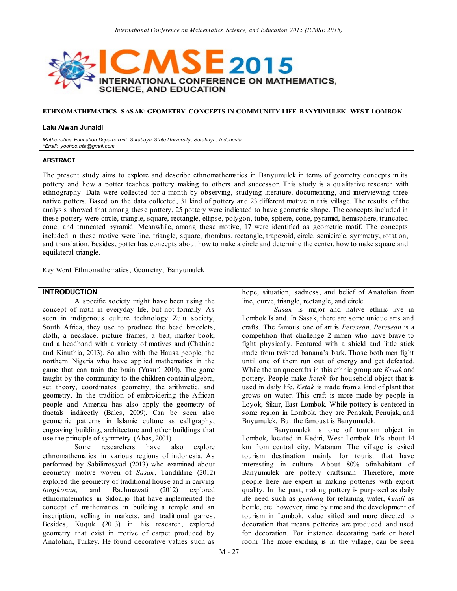

# **ETHNOMATHEMATICS SASAK: GEOMETRY CONCEPTS IN COMMUNITY LIFE BANYUMULEK WEST LOMBOK**

#### **Lalu Alwan Junaidi**

*Mathematics Education Departement Surabaya State University, Surabaya, Indonesia \*Email: yoohoo.mtk@gmail.com*

### **ABSTRACT**

The present study aims to explore and describe ethnomathematics in Banyumulek in terms of geometry concepts in its pottery and how a potter teaches pottery making to others and successor. This study is a qu alitative research with ethnography. Data were collected for a month by observing, studying literature, documenting, and interviewing three native potters. Based on the data collected, 31 kind of pottery and 23 different motive in this village. The results of the analysis showed that among these pottery, 25 pottery were indicated to have geometric shape. The concepts included in these pottery were circle, triangle, square, rectangle, ellipse, polygon, tube, sphere, cone, pyramid, hemisphere, truncated cone, and truncated pyramid. Meanwhile, among these motive, 17 were identified as geometric motif. The concepts included in these motive were line, triangle, square, rhombus, rectangle, trapezoid, circle, semicircle, symmetry, rotation, and translation. Besides, potter has concepts about how to make a circle and determine the center, how to make square and equilateral triangle.

Key Word: Ethnomathematics, Geometry, Banyumulek

### **INTRODUCTION**

A specific society might have been using the concept of math in everyday life, but not formally. As seen in indigenous culture technology Zulu society, South Africa, they use to produce the bead bracelets, cloth, a necklace, picture frames, a belt, marker book, and a headband with a variety of motives and (Chahine and Kinuthia, 2013). So also with the Hausa people, the northern Nigeria who have applied mathematics in the game that can train the brain (Yusuf, 2010). The game taught by the community to the children contain algebra, set theory, coordinates geometry, the arithmetic, and geometry. In the tradition of embroidering the African people and America has also apply the geometry of fractals indirectly (Bales, 2009). Can be seen also geometric patterns in Islamic culture as calligraphy, engraving building, architecture and other buildings that use the principle of symmetry (Abas, 2001)

Some researchers have also explore ethnomathematics in various regions of indonesia. As performed by Sabilirrosyad (2013) who examined about geometry motive woven of *Sasak*, Tandililing (2012) explored the geometry of traditional house and in carving *tongkonan,* and Rachmawati (2012) explored ethnomatematics in Sidoarjo that have implemented the concept of mathematics in building a temple and an inscription, selling in markets, and traditional games. Besides, Kuquk (2013) in his research, explored geometry that exist in motive of carpet produced by Anatolian, Turkey. He found decorative values such as

hope, situation, sadness, and belief of Anatolian from line, curve, triangle, rectangle, and circle.

*Sasak* is major and native ethnic live in Lombok Island. In Sasak, there are some unique arts and crafts. The famous one of art is *Peresean*. *Peresean* is a competition that challenge 2 mmen who have brave to fight physically. Featured with a shield and little stick made from twisted banana's bark. Those both men fight until one of them run out of energy and get defeated. While the unique crafts in this ethnic group are *Ketak* and pottery. People make *ketak* for household object that is used in daily life. *Ketak* is made from a kind of plant that grows on water. This craft is more made by people in Loyok, Sikur, East Lombok. While pottery is centered in some region in Lombok, they are Penakak, Penujak, and Bnyumulek. But the famoust is Banyumulek.

Banyumulek is one of tourism object in Lombok, located in Kediri, West Lombok. It's about 14 km from central city, Mataram. The village is exited tourism destination mainly for tourist that have interesting in culture. About 80% ofinhabitant of Banyumulek are pottery craftsman. Therefore, more people here are expert in making potteries with export quality. In the past, making pottery is purposed as daily life need such as *gentong* for retaining water, *kendi* as bottle, etc. however, time by time and the development of tourism in Lombok, value sifted and more directed to decoration that means potteries are produced and used for decoration. For instance decorating park or hotel room. The more exciting is in the village, can be seen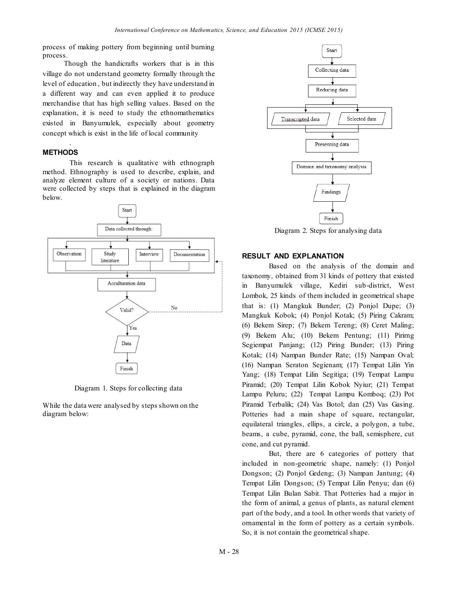process of making pottery from beginning until burning process.

Though the handicrafts workers that is in this village do not understand geometry formally through the level of education , but indirectly they have understand in a different way and can even applied it to produce merchandise that has high selling values. Based on the explanation, it is need to study the ethnomathematics existed in Banyumulek, especially about geometry concept which is exist in the life of local community

# **METHODS**

.

This research is qualitative with ethnograph method. Ethnography is used to describe, explain, and analyze element culture of a society or nations. Data were collected by steps that is explained in the diagram below.



Diagram 1. Steps for collecting data

While the data were analysed by steps shown on the diagram below:



Diagram 2. Steps for analysing data

# **RESULT AND EXPLANATION**

Based on the analysis of the domain and taxonomy, obtained from 31 kinds of pottery that existed in Banyumulek village, Kediri sub-district, West Lombok, 25 kinds of them included in geometrical shape that is: (1) Mangkuk Bunder; (2) Ponjol Dupe; (3) Mangkuk Kobok; (4) Ponjol Kotak; (5) Piring Cakram; (6) Bekem Sirep; (7) Bekem Tereng; (8) Ceret Maling; (9) Bekem Alu; (10) Bekem Pentung; (11) Pirirng Segiempat Panjang; (12) Piring Bunder; (13) Piring Kotak; (14) Nampan Bunder Rate; (15) Nampan Oval; (16) Nampan Seraton Segienam; (17) Tempat Lilin Yin Yang; (18) Tempat Lilin Segitiga; (19) Tempat Lampu Piramid; (20) Tempat Lilin Kobok Nyiur; (21) Tempat Lampu Peluru; (22) Tempat Lampu Komboq; (23) Pot Piramid Terbalik; (24) Vas Botol; dan (25) Vas Gasing. Potteries had a main shape of square, rectangular, equilateral triangles, ellips, a circle, a polygon, a tube, beams, a cube, pyramid, cone, the ball, semisphere, cut cone, and cut pyramid.

But, there are 6 categories of pottery that included in non-geometric shape, namely: (1) Ponjol Dongson; (2) Ponjol Gedeng; (3) Nampan Jantung; (4) Tempat Lilin Dongson; (5) Tempat Lilin Penyu; dan (6) Tempat Lilin Bulan Sabit. That Potteries had a major in the form of animal, a genus of plants, as natural element part of the body, and a tool. In other words that variety of ornamental in the form of pottery as a certain symbols. So, it is not contain the geometrical shape.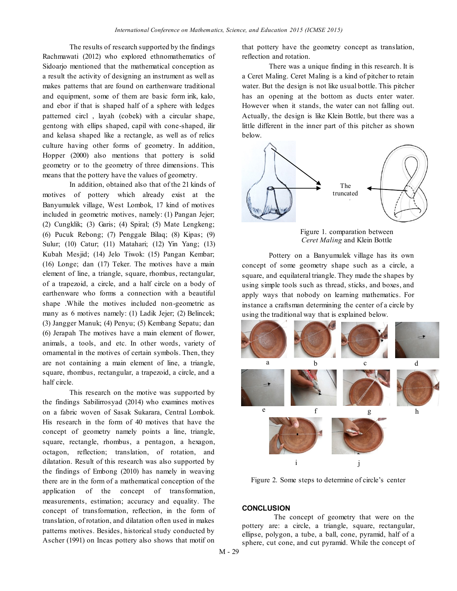The results of research supported by the findings Rachmawati (2012) who explored ethnomathematics of Sidoarjo mentioned that the mathematical conception as a result the activity of designing an instrument as well as makes patterns that are found on earthenware traditional and equipment, some of them are basic form irik, kalo, and ebor if that is shaped half of a sphere with ledges patterned circl , layah (cobek) with a circular shape, gentong with ellips shaped, capil with cone-shaped, ilir and kelasa shaped like a rectangle, as well as of relics culture having other forms of geometry. In addition, Hopper (2000) also mentions that pottery is solid geometry or to the geometry of three dimensions. This means that the pottery have the values of geometry.

In addition, obtained also that of the 21 kinds of motives of pottery which already exist at the Banyumulek village, West Lombok, 17 kind of motives included in geometric motives, namely: (1) Pangan Jejer; (2) Cungklik; (3) Garis; (4) Spiral; (5) Mate Lengkeng; (6) Pucuk Rebong; (7) Penggale Bilaq; (8) Kipas; (9) Sulur; (10) Catur; (11) Matahari; (12) Yin Yang; (13) Kubah Mesjid; (14) Jelo Tiwok: (15) Pangan Kembar; (16) Longe; dan (17) Teker. The motives have a main element of line, a triangle, square, rhombus, rectangular, of a trapezoid, a circle, and a half circle on a body of earthenware who forms a connection with a beautiful shape .While the motives included non-geometric as many as 6 motives namely: (1) Ladik Jejer; (2) Belincek; (3) Jangger Manuk; (4) Penyu; (5) Kembang Sepatu; dan (6) Jerapah The motives have a main element of flower, animals, a tools, and etc. In other words, variety of ornamental in the motives of certain symbols. Then, they are not containing a main element of line, a triangle, square, rhombus, rectangular, a trapezoid, a circle, and a half circle.

This research on the motive was supported by the findings Sabilirrosyad (2014) who examines motives on a fabric woven of Sasak Sukarara, Central Lombok. His research in the form of 40 motives that have the concept of geometry namely points a line, triangle, square, rectangle, rhombus, a pentagon, a hexagon, octagon, reflection; translation, of rotation, and dilatation. Result of this research was also supported by the findings of Embong (2010) has namely in weaving there are in the form of a mathematical conception of the application of the concept of transformation, measurements, estimation; accuracy and equality. The concept of transformation, reflection, in the form of translation, of rotation, and dilatation often used in makes patterns motives. Besides, historical study conducted by Ascher (1991) on Incas pottery also shows that motif on

that pottery have the geometry concept as translation, reflection and rotation.

There was a unique finding in this research. It is a Ceret Maling. Ceret Maling is a kind of pitcher to retain water. But the design is not like usual bottle. This pitcher has an opening at the bottom as ducts enter water. However when it stands, the water can not falling out. Actually, the design is like Klein Bottle, but there was a little different in the inner part of this pitcher as shown below.



Figure 1. comparation between *Ceret Maling* and Klein Bottle

Pottery on a Banyumulek village has its own concept of some geometry shape such as a circle, a square, and equilateral triangle. They made the shapes by using simple tools such as thread, sticks, and boxes, and apply ways that nobody on learning mathematics. For instance a craftsman determining the center of a circle by using the traditional way that is explained below.



Figure 2. Some steps to determine of circle's center

## **CONCLUSION**

The concept of geometry that were on the pottery are: a circle, a triangle, square, rectangular, ellipse, polygon, a tube, a ball, cone, pyramid, half of a sphere, cut cone, and cut pyramid. While the concept of